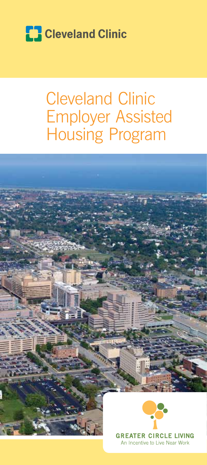

# Cleveland Clinic Employer Assisted Housing Program



An Incentive to Live Near Work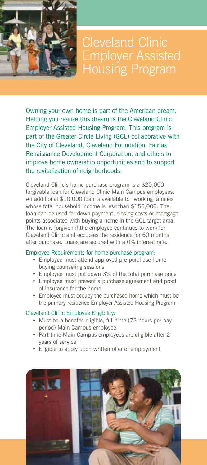

Cleveland Clinic Employer Assisted Housing Program

Owning your own home is part of the American dream. Helping you realize this dream is the Cleveland Clinic Employer Assisted Housing Program. This program is part of the Greater Circle Living (GCL) collaborative with the City of Cleveland, Cleveland Foundation, Fairfax Renaissance Development Corporation, and others to improve home ownership opportunities and to support the revitalization of neighborhoods.

Cleveland Clinic's home purchase program is a \$20,000 forgivable loan for Cleveland Clinic Main Campus employees. An additional \$10,000 loan is available to "working families" whose total household income is less than \$150,000. The loan can be used for down payment, closing costs or mortgage points associated with buying a home in the GCL target area. The loan is forgiven if the employee continues to work for Cleveland Clinic and occupies the residence for 60 months after purchase. Loans are secured with a 0% interest rate.

#### Employee Requirements for home purchase program:

- Employee must attend approved pre-purchase home buying counseling sessions
- Employee must put down 3% of the total purchase price
- • Employee must present a purchase agreement and proof of insurance for the home
- • Employee must occupy the purchased home which must be the primary residence Employer Assisted Housing Program

## Cleveland Clinic Employee Eligibility:

- Must be a benefits-eligible, full time (72 hours per pay period) Main Campus employee
- Part-time Main Campus employees are eligible after 2 years of service
- Eligible to apply upon written offer of employment

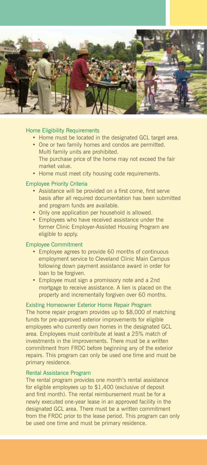

### Home Eligibility Requirements

- Home must be located in the designated GCL target area.
- One or two family homes and condos are permitted. Multi family units are prohibited. The purchase price of the home may not exceed the fair market value.
- Home must meet city housing code requirements.

#### Employee Priority Criteria

- • Assistance will be provided on a first come, first serve basis after all required documentation has been submitted and program funds are available.
- Only one application per household is allowed.
- Employees who have received assistance under the former Clinic Employer-Assisted Housing Program are eligible to apply.

#### Employee Commitment

- • Employee agrees to provide 60 months of continuous employment service to Cleveland Clinic Main Campus following down payment assistance award in order for loan to be forgiven.
- Employee must sign a promissory note and a 2nd mortgage to receive assistance. A lien is placed on the property and incrementally forgiven over 60 months.

#### Existing Homeowner Exterior Home Repair Program

The home repair program provides up to \$8,000 of matching funds for pre-approved exterior improvements for eligible employees who currently own homes in the designated GCL area. Employees must contribute at least a 25% match of investments in the improvements. There must be a written commitment from FRDC before beginning any of the exterior repairs. This program can only be used one time and must be primary residence.

#### Rental Assistance Program

The rental program provides one month's rental assistance for eligible employees up to \$1,400 (exclusive of deposit and first month). The rental reimbursement must be for a newly executed one-year lease in an approved facility in the designated GCL area. There must be a written commitment from the FRDC prior to the lease period. This program can only be used one time and must be primary residence.